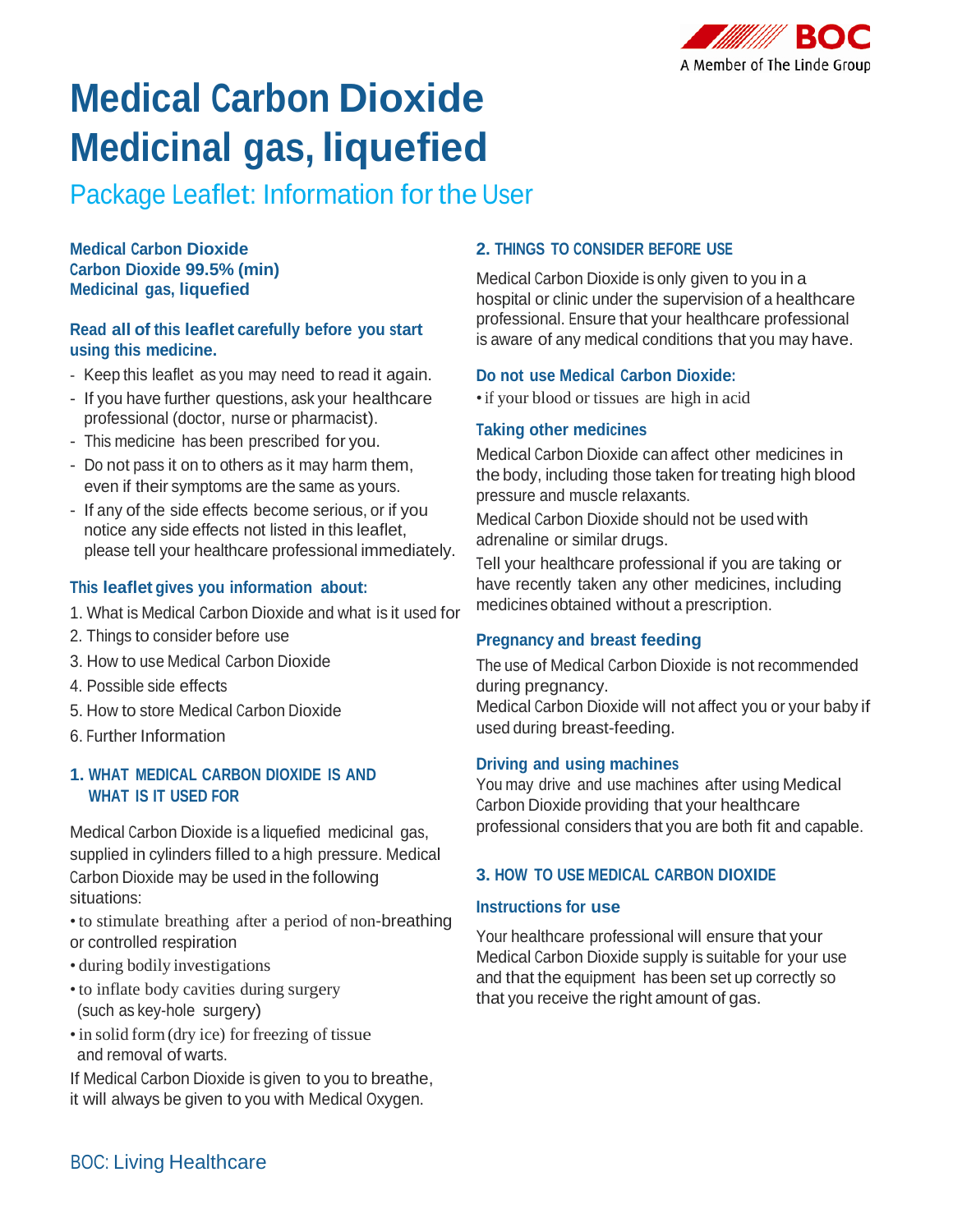

# **Medical Carbon Dioxide Medicinal gas, liquefied**

Package Leaflet: Information for the User

**Medical Carbon Dioxide Carbon Dioxide 99.5% (min) Medicinal gas, liquefied**

# **Read all of this leaflet carefully before you start using this medicine.**

- Keep this leaflet as you may need to read it again.
- If you have further questions, ask your healthcare professional (doctor, nurse or pharmacist).
- This medicine has been prescribed for you.
- Do not pass it on to others as it may harm them, even if their symptoms are the same as yours.
- If any of the side effects become serious, or if you notice any side effects not listed in this leaflet, please tell your healthcare professional immediately.

# **This leaflet gives you information about:**

- 1. What is Medical Carbon Dioxide and what is it used for
- 2. Things to consider before use
- 3. How to use Medical Carbon Dioxide
- 4. Possible side effects
- 5. How to store Medical Carbon Dioxide
- 6. Further Information

### **1. WHAT MEDICAL CARBON DIOXIDE IS AND WHAT IS IT USED FOR**

Medical Carbon Dioxide is a liquefied medicinal gas, supplied in cylinders filled to a high pressure. Medical Carbon Dioxide may be used in the following situations:

- •to stimulate breathing after a period of non-breathing or controlled respiration
- during bodily investigations
- •to inflate body cavities during surgery (such as key-hole surgery)
- in solid form (dry ice) for freezing of tissue and removal of warts.

If Medical Carbon Dioxide is given to you to breathe, it will always be given to you with Medical Oxygen.

# **2. THINGS TO CONSIDER BEFORE USE**

Medical Carbon Dioxide is only given to you in a hospital or clinic under the supervision of a healthcare professional. Ensure that your healthcare professional is aware of any medical conditions that you may have.

# **Do not use Medical Carbon Dioxide:**

•if your blood or tissues are high in acid

### **Taking other medicines**

Medical Carbon Dioxide can affect other medicines in the body, including those taken for treating high blood pressure and muscle relaxants.

Medical Carbon Dioxide should not be used with adrenaline or similar drugs.

Tell your healthcare professional if you are taking or have recently taken any other medicines, including medicines obtained without a prescription.

# **Pregnancy and breast feeding**

The use of Medical Carbon Dioxide is not recommended during pregnancy. Medical Carbon Dioxide will not affect you or your baby if used during breast-feeding.

# **Driving and using machines**

You may drive and use machines after using Medical Carbon Dioxide providing that your healthcare professional considers that you are both fit and capable.

# **3. HOW TO USE MEDICAL CARBON DIOXIDE**

### **Instructions for use**

Your healthcare professional will ensure that your Medical Carbon Dioxide supply is suitable for your use and that the equipment has been set up correctly so that you receive the right amount of gas.

# BOC: Living Healthcare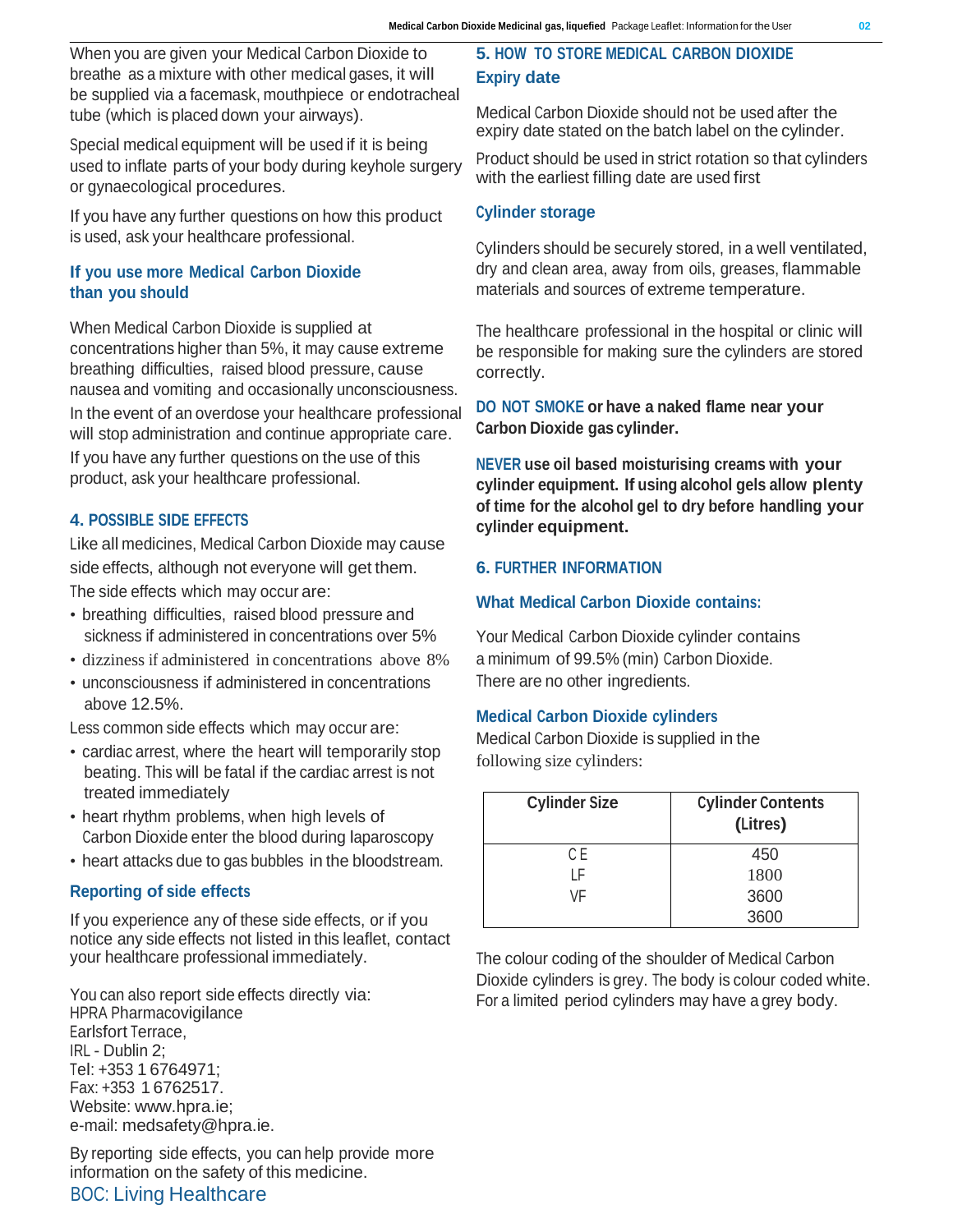When you are given your Medical Carbon Dioxide to breathe as a mixture with other medical gases, it will be supplied via a facemask, mouthpiece or endotracheal tube (which is placed down your airways).

Special medical equipment will be used if it is being used to inflate parts of your body during keyhole surgery or gynaecological procedures.

If you have any further questions on how this product is used, ask your healthcare professional.

### **If you use more Medical Carbon Dioxide than you should**

When Medical Carbon Dioxide is supplied at concentrations higher than 5%, it may cause extreme breathing difficulties, raised blood pressure, cause nausea and vomiting and occasionally unconsciousness. In the event of an overdose your healthcare professional will stop administration and continue appropriate care. If you have any further questions on the use of this product, ask your healthcare professional.

### **4. POSSIBLE SIDE EFFECTS**

Like all medicines, Medical Carbon Dioxide may cause side effects, although not everyone will get them. The side effects which may occur are:

- breathing difficulties, raised blood pressure and sickness if administered in concentrations over 5%
- dizziness if administered in concentrations above 8%
- unconsciousness if administered in concentrations above 12.5%.

Less common side effects which may occur are:

- cardiac arrest, where the heart will temporarily stop beating. This will be fatal if the cardiac arrest is not treated immediately
- heart rhythm problems, when high levels of Carbon Dioxide enter the blood during laparoscopy
- heart attacks due to gas bubbles in the bloodstream.

# **Reporting of side effects**

If you experience any of these side effects, or if you notice any side effects not listed in this leaflet, contact your healthcare professional immediately.

You can also report side effects directly via: HPRA Pharmacovigilance Earlsfort Terrace, IRL - Dublin 2; Tel: +353 1 6764971; Fax: +353 1 6762517. Website: [www.hpra.ie;](http://www.hpra.ie/) e-mail: [medsafety@hpra.ie.](mailto:medsafety@hpra.ie)

By reporting side effects, you can help provide more information on the safety of this medicine. BOC: Living Healthcare

# **5. HOW TO STORE MEDICAL CARBON DIOXIDE Expiry date**

Medical Carbon Dioxide should not be used after the expiry date stated on the batch label on the cylinder.

Product should be used in strict rotation so that cylinders with the earliest filling date are used first

### **Cylinder storage**

Cylinders should be securely stored, in a well ventilated, dry and clean area, away from oils, greases, flammable materials and sources of extreme temperature.

The healthcare professional in the hospital or clinic will be responsible for making sure the cylinders are stored correctly.

**DO NOT SMOKE or have a naked flame near your Carbon Dioxide gas cylinder.**

**NEVER use oil based moisturising creams with your cylinder equipment. If using alcohol gels allow plenty of time for the alcohol gel to dry before handling your cylinder equipment.**

### **6. FURTHER INFORMATION**

### **What Medical Carbon Dioxide contains:**

Your Medical Carbon Dioxide cylinder contains a minimum of 99.5% (min) Carbon Dioxide. There are no other ingredients.

# **Medical Carbon Dioxide cylinders**

Medical Carbon Dioxide is supplied in the following size cylinders:

| <b>Cylinder Size</b> | <b>Cylinder Contents</b><br>(Litres) |
|----------------------|--------------------------------------|
| C E                  | 450                                  |
| l F                  | 1800                                 |
| VF                   | 3600                                 |
|                      | 3600                                 |

The colour coding of the shoulder of Medical Carbon Dioxide cylinders is grey. The body is colour coded white. For a limited period cylinders may have a grey body.